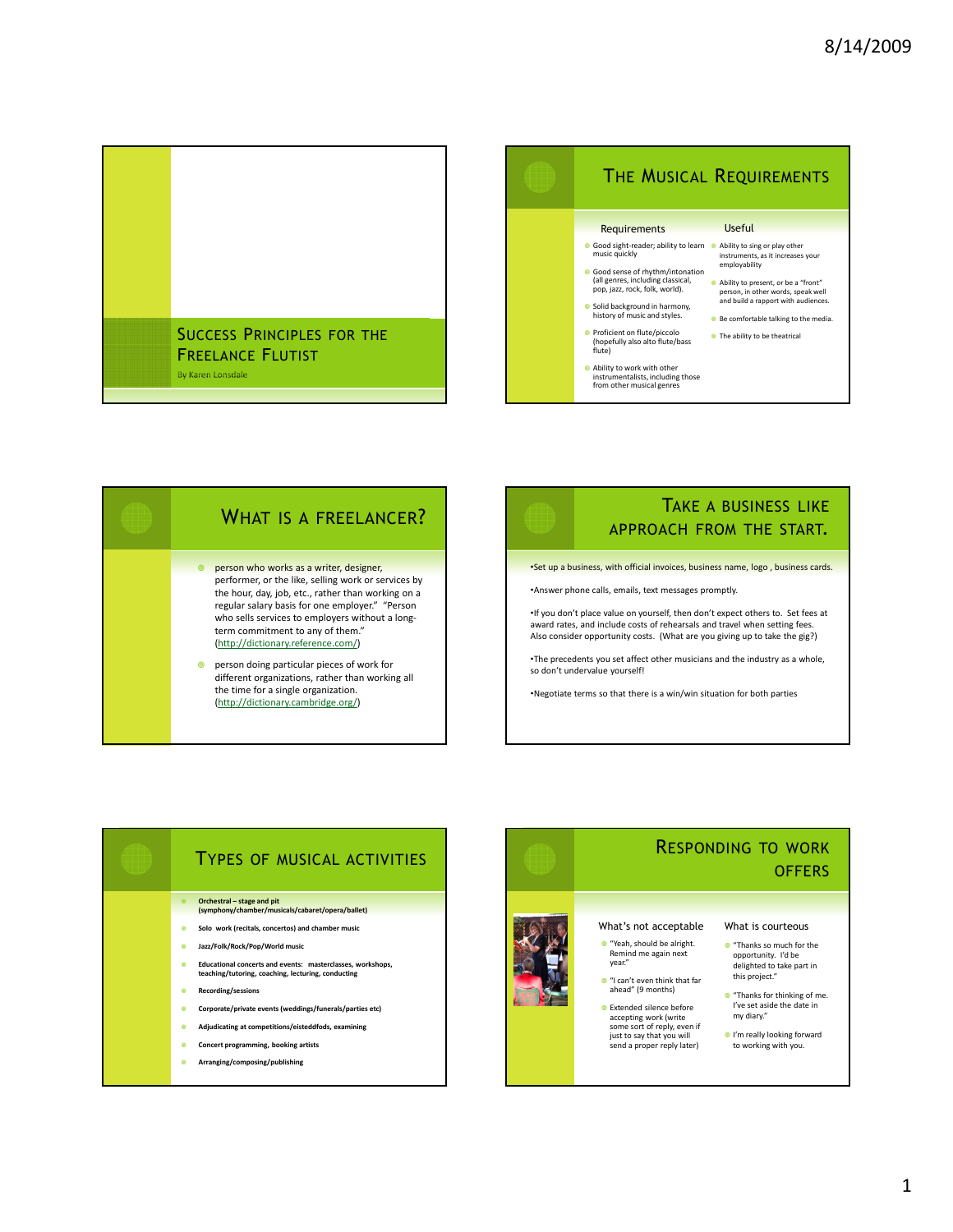





## TAKE A BUSINESS LIKE APPROACH FROM THE START.

•Set up a business, with official invoices, business name, logo , business cards.

•Answer phone calls, emails, text messages promptly.

•If you don't place value on yourself, then don't expect others to. Set fees at award rates, and include costs of rehearsals and travel when setting fees. Also consider opportunity costs. (What are you giving up to take the gig?)

•The precedents you set affect other musicians and the industry as a whole, so don't undervalue yourself!

•Negotiate terms so that there is a win/win situation for both parties



## RESPONDING TO WORK **OFFERS**

### What's not acceptable

- "Yeah, should be alright. Remind me again next year."
- "I can't even think that far ahead" (9 months)
- Extended silence before accepting work (write some sort of reply, even if just to say that you will send a proper reply later)

#### What is courteous

- "Thanks so much for the opportunity. I'd be delighted to take part in this project."
- "Thanks for thinking of me. I've set aside the date in my diary."
- I'm really looking forward to working with you.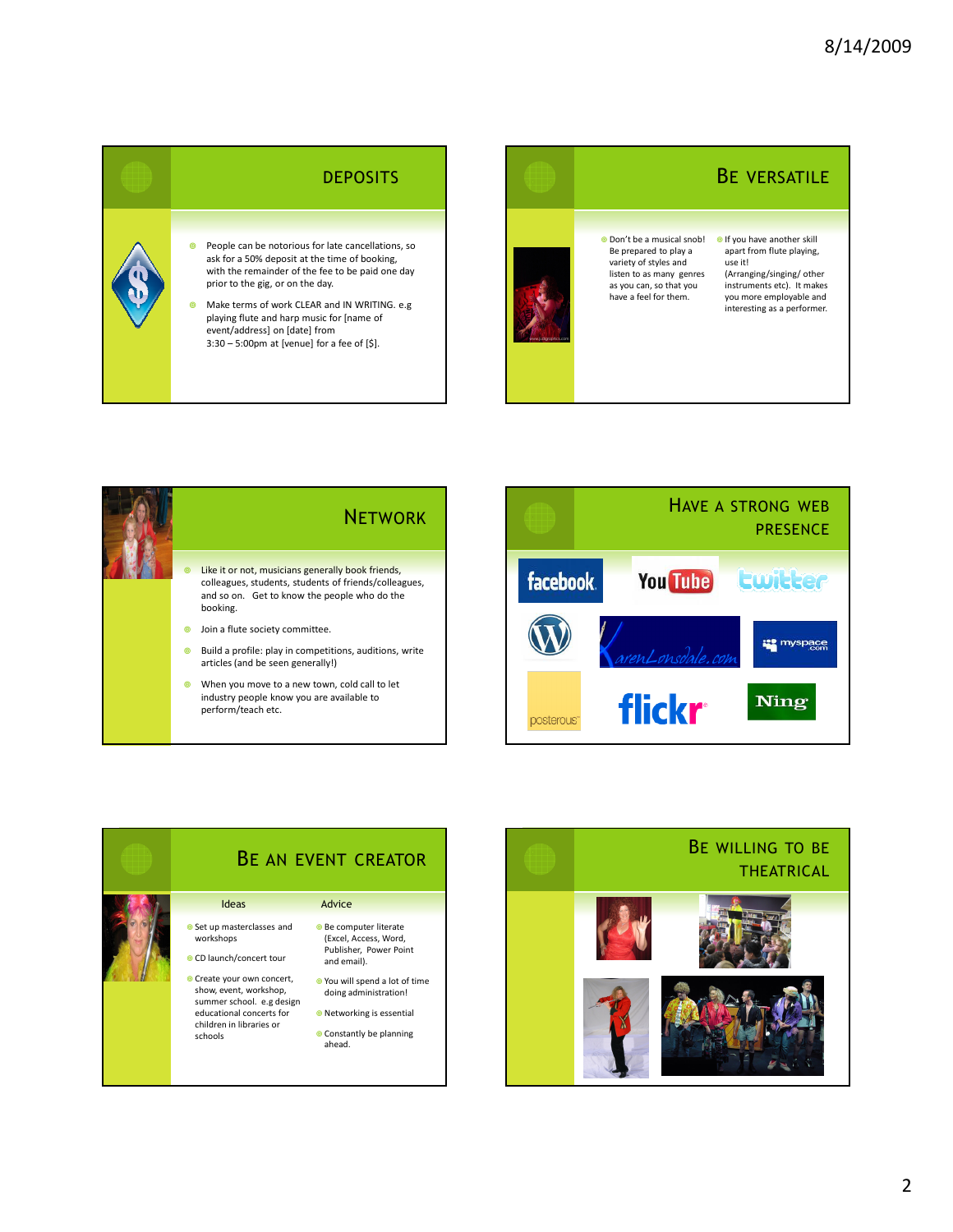## **DEPOSITS**

 People can be notorious for late cancellations, so ask for a 50% deposit at the time of booking, with the remainder of the fee to be paid one day prior to the gig, or on the day.

 Make terms of work CLEAR and IN WRITING. e.g playing flute and harp music for [name of event/address] on [date] from 3:30 – 5:00pm at [venue] for a fee of [\$].



 Don't be a musical snob! Be prepared to play a variety of styles and listen to as many genres as you can, so that you have a feel for them.

# BE VERSATILE

If you have another skill apart from flute playing, use it! (Arranging/singing/other

instruments etc). It makes you more employable and interesting as a performer.



perform/teach etc.







### 2